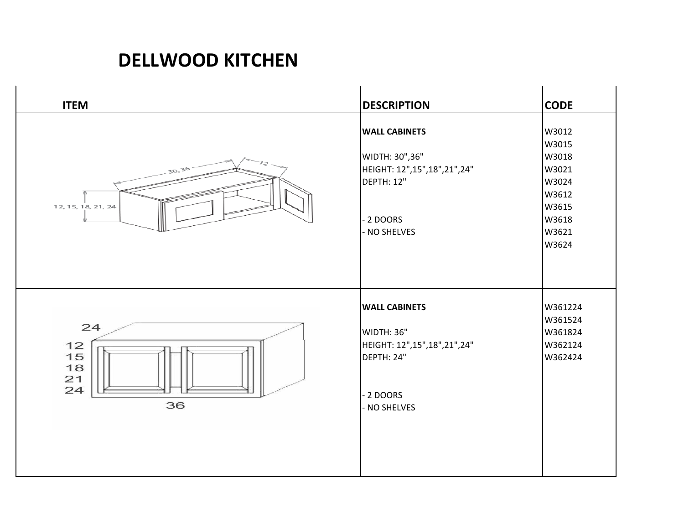## **DELLWOOD KITCHEN**

| <b>ITEM</b>                            | <b>DESCRIPTION</b>                                                                                                | <b>CODE</b>                                                                            |
|----------------------------------------|-------------------------------------------------------------------------------------------------------------------|----------------------------------------------------------------------------------------|
| 30,36<br>12, 15, 18, 21, 24            | <b>WALL CABINETS</b><br>WIDTH: 30",36"<br>HEIGHT: 12",15",18",21",24"<br>DEPTH: 12"<br>- 2 DOORS<br>NO SHELVES    | W3012<br>W3015<br>W3018<br>W3021<br>W3024<br>W3612<br>W3615<br>W3618<br>W3621<br>W3624 |
| 24<br>12<br>15<br>18<br>21<br>24<br>36 | <b>WALL CABINETS</b><br><b>WIDTH: 36"</b><br>HEIGHT: 12",15",18",21",24"<br>DEPTH: 24"<br>- 2 DOORS<br>NO SHELVES | W361224<br>W361524<br>W361824<br>W362124<br>W362424                                    |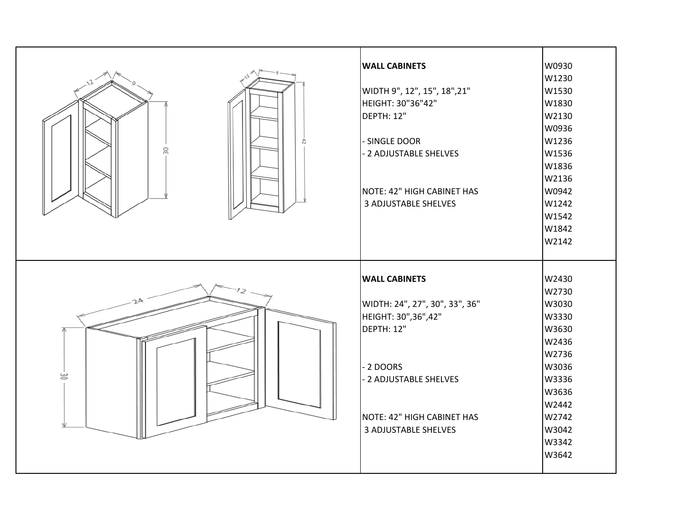|    | <b>WALL CABINETS</b>           | W0930             |
|----|--------------------------------|-------------------|
|    |                                | W1230             |
|    | WIDTH 9", 12", 15", 18", 21"   | W <sub>1530</sub> |
|    | HEIGHT: 30"36"42"              | W1830             |
|    | DEPTH: 12"                     | W2130             |
|    |                                | W0936             |
|    | - SINGLE DOOR                  | W1236             |
| 30 | - 2 ADJUSTABLE SHELVES         | W1536             |
|    |                                | W1836             |
|    |                                | W2136             |
|    | NOTE: 42" HIGH CABINET HAS     | W0942             |
|    | <b>3 ADJUSTABLE SHELVES</b>    | W1242             |
|    |                                | W1542             |
|    |                                | W1842             |
|    |                                | W2142             |
|    |                                |                   |
|    |                                |                   |
|    |                                |                   |
|    | <b>WALL CABINETS</b>           | W2430             |
|    |                                | W2730             |
|    | WIDTH: 24", 27", 30", 33", 36" | W3030             |
|    | HEIGHT: 30", 36", 42"          | W3330             |
|    | DEPTH: 12"                     | W3630             |
|    |                                | W2436             |
|    |                                | W2736             |
|    | - 2 DOORS                      | W3036             |
| ġ  | 2 ADJUSTABLE SHELVES           | W3336             |
|    |                                | W3636             |
|    |                                | W2442             |
|    | NOTE: 42" HIGH CABINET HAS     | W2742             |
|    | <b>3 ADJUSTABLE SHELVES</b>    | W3042             |
|    |                                | W3342             |
|    |                                | W3642             |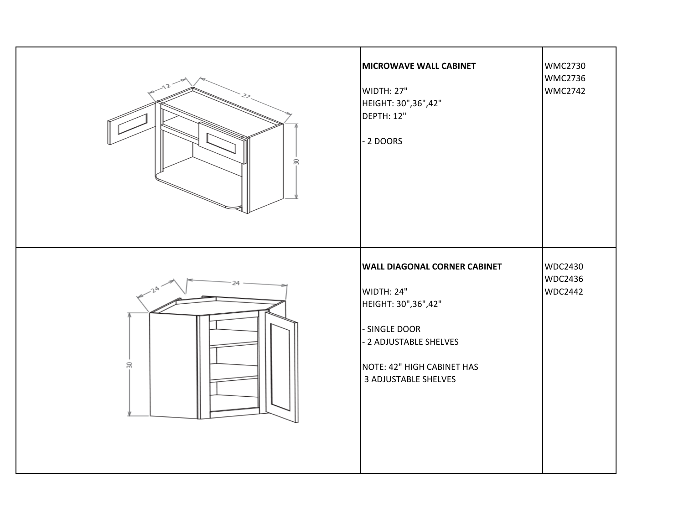| S  | <b>MICROWAVE WALL CABINET</b><br>WIDTH: 27"<br>HEIGHT: 30",36",42"<br>DEPTH: 12"<br>- 2 DOORS                                                                             | <b>WMC2730</b><br><b>WMC2736</b><br><b>WMC2742</b> |
|----|---------------------------------------------------------------------------------------------------------------------------------------------------------------------------|----------------------------------------------------|
| 50 | <b>WALL DIAGONAL CORNER CABINET</b><br>WIDTH: 24"<br>HEIGHT: 30",36",42"<br>- SINGLE DOOR<br>- 2 ADJUSTABLE SHELVES<br>NOTE: 42" HIGH CABINET HAS<br>3 ADJUSTABLE SHELVES | WDC2430<br><b>WDC2436</b><br><b>WDC2442</b>        |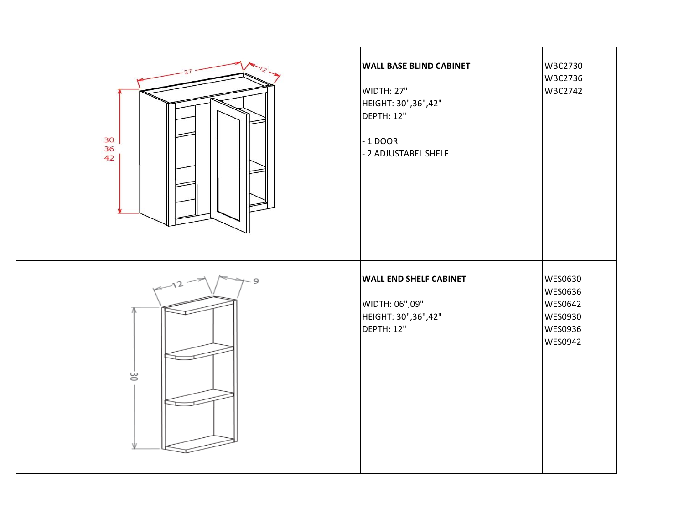| 30<br>36<br>42 | <b>WALL BASE BLIND CABINET</b><br>WIDTH: 27"<br>HEIGHT: 30", 36", 42"<br>DEPTH: 12"<br>$-1$ DOOR<br>- 2 ADJUSTABEL SHELF | <b>WBC2730</b><br><b>WBC2736</b><br><b>WBC2742</b>                    |
|----------------|--------------------------------------------------------------------------------------------------------------------------|-----------------------------------------------------------------------|
| 9<br>ë         | <b>WALL END SHELF CABINET</b><br>WIDTH: 06",09"<br>HEIGHT: 30",36",42"<br>DEPTH: 12"                                     | <b>WES0630</b><br>WES0636<br>WES0642<br>WES0930<br>WES0936<br>WES0942 |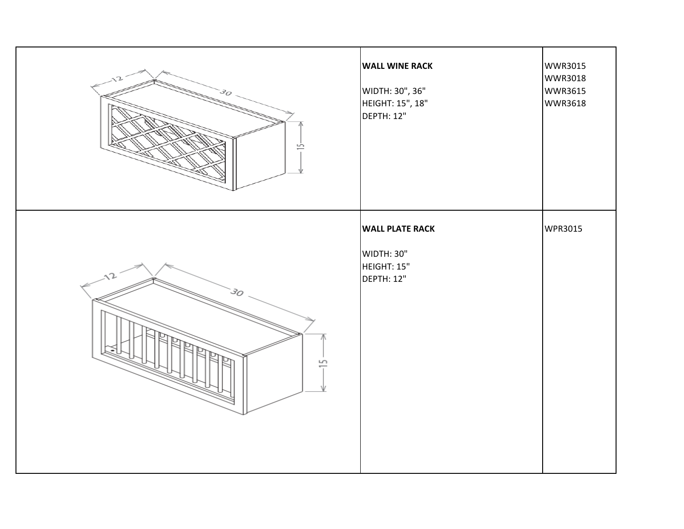| 30<br>흔 | <b>WALL WINE RACK</b><br>WIDTH: 30", 36"<br>HEIGHT: 15", 18"<br>DEPTH: 12" | <b>WWR3015</b><br><b>WWR3018</b><br><b>WWR3615</b><br><b>WWR3618</b> |
|---------|----------------------------------------------------------------------------|----------------------------------------------------------------------|
| S       | <b>WALL PLATE RACK</b><br>WIDTH: 30"<br>HEIGHT: 15"<br>DEPTH: 12"          | WPR3015                                                              |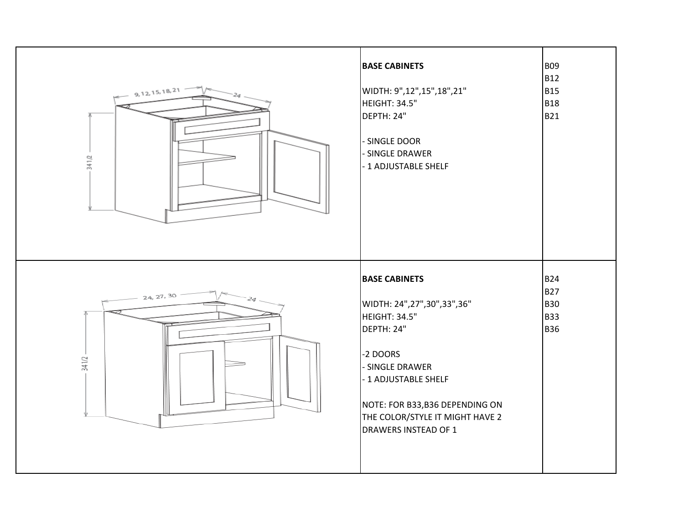| 9, 12, 15, 18, 21<br>341/2 | <b>BASE CABINETS</b><br>WIDTH: 9",12",15",18",21"<br>HEIGHT: 34.5"<br>DEPTH: 24"<br>- SINGLE DOOR<br>- SINGLE DRAWER<br>- 1 ADJUSTABLE SHELF                                                                                                 | <b>B09</b><br><b>B12</b><br><b>B15</b><br><b>B18</b><br><b>B21</b>   |
|----------------------------|----------------------------------------------------------------------------------------------------------------------------------------------------------------------------------------------------------------------------------------------|----------------------------------------------------------------------|
| 24, 27, 30<br>341/2        | <b>BASE CABINETS</b><br>WIDTH: 24",27",30",33",36"<br>HEIGHT: 34.5"<br>DEPTH: 24"<br>-2 DOORS<br>- SINGLE DRAWER<br>- 1 ADJUSTABLE SHELF<br>NOTE: FOR B33,B36 DEPENDING ON<br>THE COLOR/STYLE IT MIGHT HAVE 2<br><b>DRAWERS INSTEAD OF 1</b> | <b>B24</b><br><b>B27</b><br><b>B</b> 30<br><b>B</b> 33<br><b>B36</b> |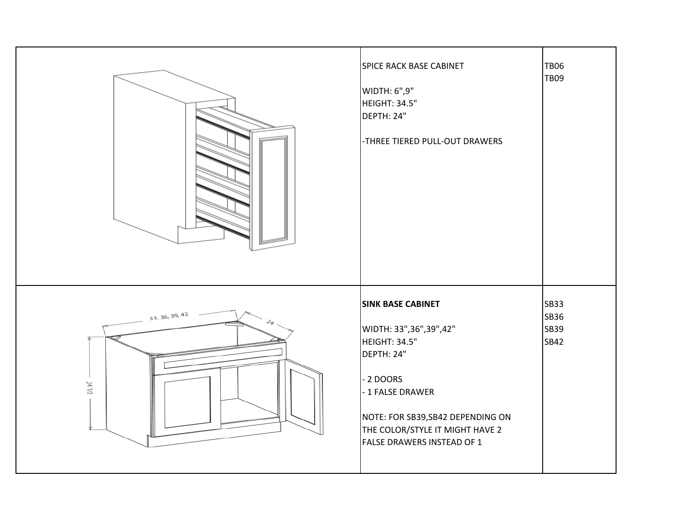|                          | SPICE RACK BASE CABINET<br>WIDTH: 6",9"<br>HEIGHT: 34.5"<br>DEPTH: 24"<br>-THREE TIERED PULL-OUT DRAWERS                                                                                                                  | <b>TB06</b><br><b>TB09</b>          |
|--------------------------|---------------------------------------------------------------------------------------------------------------------------------------------------------------------------------------------------------------------------|-------------------------------------|
| 33, 36, 39, 42<br>34 1/2 | <b>SINK BASE CABINET</b><br>WIDTH: 33", 36", 39", 42"<br>HEIGHT: 34.5"<br>DEPTH: 24"<br>2 DOORS<br>- 1 FALSE DRAWER<br>NOTE: FOR SB39, SB42 DEPENDING ON<br>THE COLOR/STYLE IT MIGHT HAVE 2<br>FALSE DRAWERS INSTEAD OF 1 | <b>SB33</b><br>SB36<br>SB39<br>SB42 |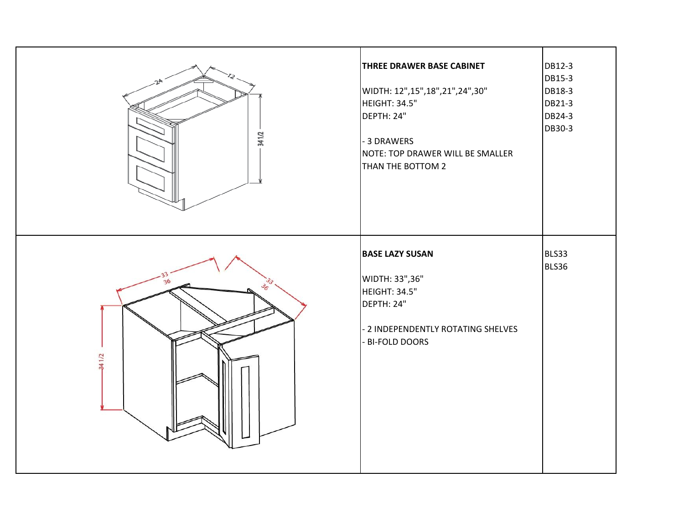| 341/2       | <b>THREE DRAWER BASE CABINET</b><br>WIDTH: 12",15",18",21",24",30"<br>HEIGHT: 34.5"<br>DEPTH: 24"<br>- 3 DRAWERS<br>NOTE: TOP DRAWER WILL BE SMALLER<br>THAN THE BOTTOM 2 | DB12-3<br>DB15-3<br>DB18-3<br>DB21-3<br>DB24-3<br>DB30-3 |
|-------------|---------------------------------------------------------------------------------------------------------------------------------------------------------------------------|----------------------------------------------------------|
| 36<br>341/2 | <b>BASE LAZY SUSAN</b><br>WIDTH: 33",36"<br>HEIGHT: 34.5"<br>DEPTH: 24"<br>- 2 INDEPENDENTLY ROTATING SHELVES<br>- BI-FOLD DOORS                                          | BLS33<br>BLS36                                           |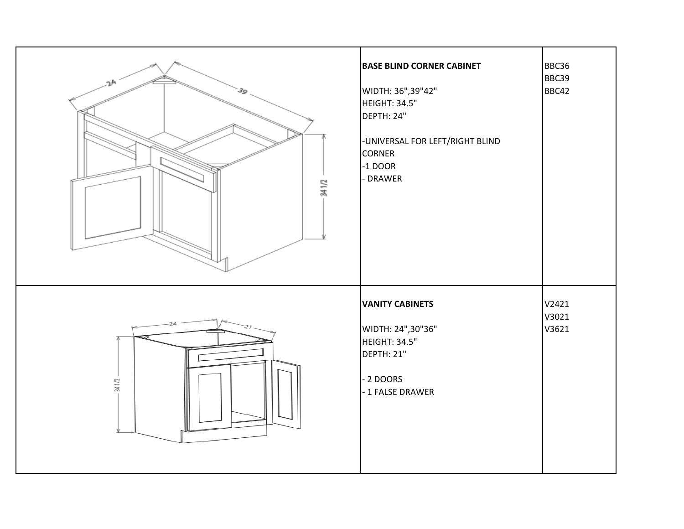| 341/2       | <b>BASE BLIND CORNER CABINET</b><br>WIDTH: 36",39"42"<br>HEIGHT: 34.5"<br>DEPTH: 24"<br>-UNIVERSAL FOR LEFT/RIGHT BLIND<br><b>CORNER</b><br>$-1$ DOOR<br>- DRAWER | BBC36<br>BBC39<br>BBC42 |
|-------------|-------------------------------------------------------------------------------------------------------------------------------------------------------------------|-------------------------|
| 24<br>341/2 | <b>VANITY CABINETS</b><br>WIDTH: 24",30"36"<br>HEIGHT: 34.5"<br>DEPTH: 21"<br>- 2 DOORS<br>- 1 FALSE DRAWER                                                       | V2421<br>V3021<br>V3621 |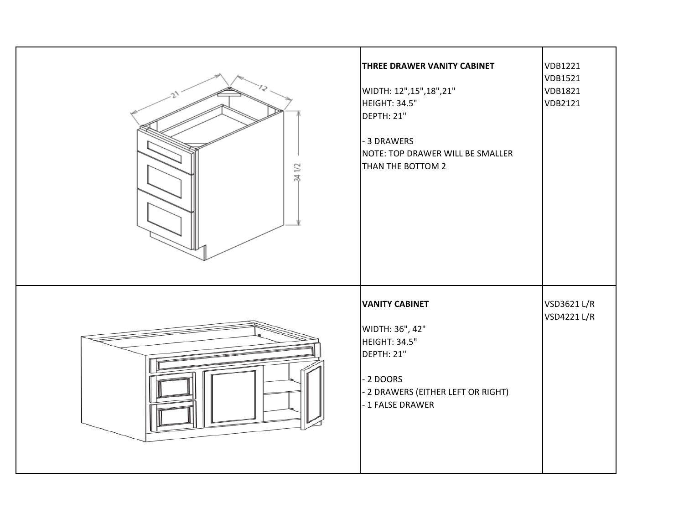| 34 1/2                   | THREE DRAWER VANITY CABINET<br>WIDTH: 12",15",18",21"<br>HEIGHT: 34.5"<br><b>DEPTH: 21"</b><br>- 3 DRAWERS<br>NOTE: TOP DRAWER WILL BE SMALLER<br>THAN THE BOTTOM 2 | VDB1221<br>VDB1521<br>VDB1821<br>VDB2121 |
|--------------------------|---------------------------------------------------------------------------------------------------------------------------------------------------------------------|------------------------------------------|
| $\overline{\phantom{a}}$ | <b>VANITY CABINET</b><br>WIDTH: 36", 42"<br>HEIGHT: 34.5"<br><b>DEPTH: 21"</b><br>- 2 DOORS<br>- 2 DRAWERS (EITHER LEFT OR RIGHT)<br>- 1 FALSE DRAWER               | VSD3621 L/R<br>VSD4221 L/R               |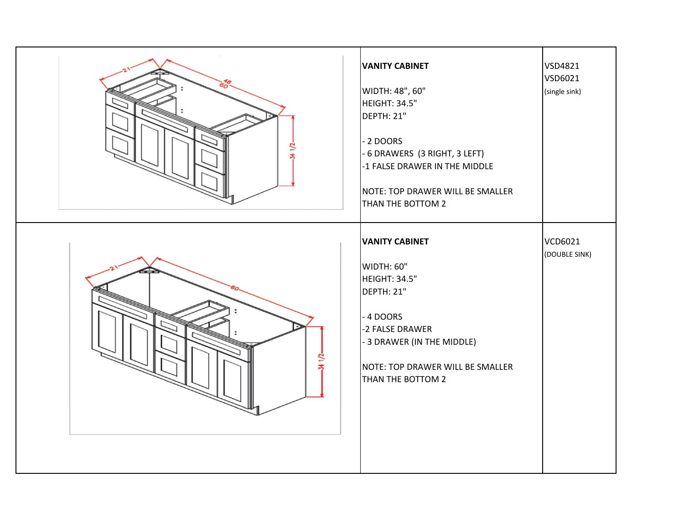| 341/2      | <b>VANITY CABINET</b><br>WIDTH: 48", 60"<br>HEIGHT: 34.5"<br>DEPTH: 21"<br>- 2 DOORS<br>- 6 DRAWERS (3 RIGHT, 3 LEFT)<br>-1 FALSE DRAWER IN THE MIDDLE<br>NOTE: TOP DRAWER WILL BE SMALLER<br>THAN THE BOTTOM 2 | <b>VSD4821</b><br>VSD6021<br>(single sink) |
|------------|-----------------------------------------------------------------------------------------------------------------------------------------------------------------------------------------------------------------|--------------------------------------------|
| $34 + 1/2$ | <b>VANITY CABINET</b><br>WIDTH: 60"<br>HEIGHT: 34.5"<br>DEPTH: 21"<br>- 4 DOORS<br>-2 FALSE DRAWER<br>- 3 DRAWER (IN THE MIDDLE)<br>NOTE: TOP DRAWER WILL BE SMALLER<br>THAN THE BOTTOM 2                       | <b>VCD6021</b><br>(DOUBLE SINK)            |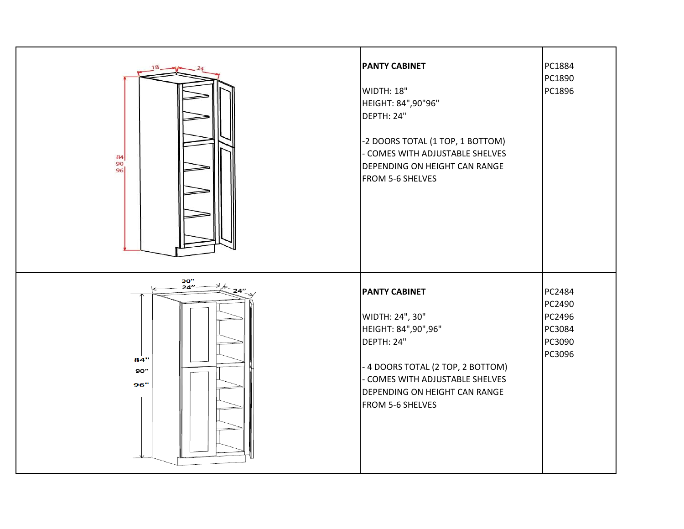| 84<br>90<br>96                         | <b>PANTY CABINET</b><br>WIDTH: 18"<br>HEIGHT: 84",90"96"<br>DEPTH: 24"<br>-2 DOORS TOTAL (1 TOP, 1 BOTTOM)<br>- COMES WITH ADJUSTABLE SHELVES<br>DEPENDING ON HEIGHT CAN RANGE<br>FROM 5-6 SHELVES               | PC1884<br>PC1890<br>PC1896                               |
|----------------------------------------|------------------------------------------------------------------------------------------------------------------------------------------------------------------------------------------------------------------|----------------------------------------------------------|
| $\frac{30}{24}$ "<br>84"<br>90"<br>96" | <b>PANTY CABINET</b><br>WIDTH: 24", 30"<br>HEIGHT: 84",90",96"<br>DEPTH: 24"<br>- 4 DOORS TOTAL (2 TOP, 2 BOTTOM)<br>- COMES WITH ADJUSTABLE SHELVES<br><b>DEPENDING ON HEIGHT CAN RANGE</b><br>FROM 5-6 SHELVES | PC2484<br>PC2490<br>PC2496<br>PC3084<br>PC3090<br>PC3096 |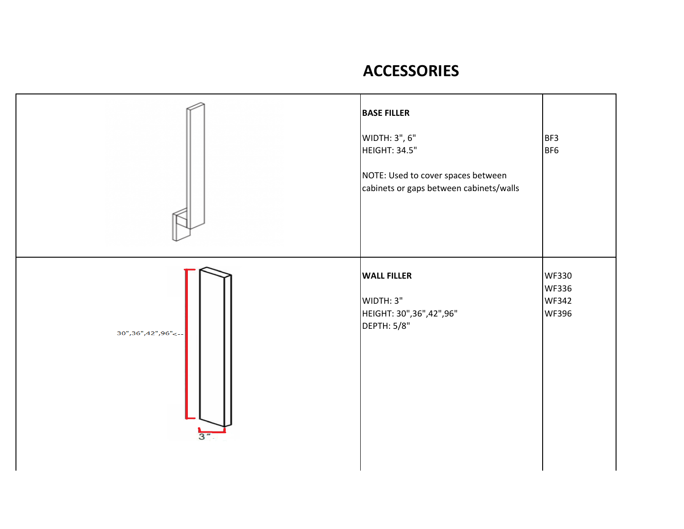## **ACCESSORIES**

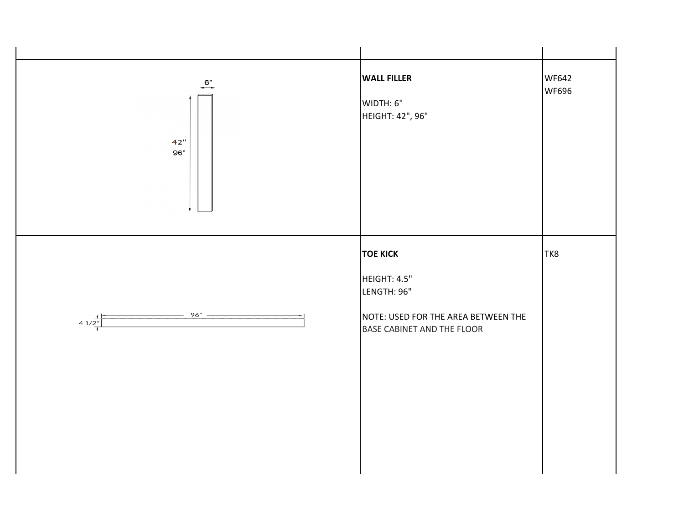| $\overline{6}$ "<br>42"<br>96" | <b>WALL FILLER</b><br>WIDTH: 6"<br>HEIGHT: 42", 96"                                                                 | <b>WF642</b><br>WF696 |
|--------------------------------|---------------------------------------------------------------------------------------------------------------------|-----------------------|
| 96" —<br>$4 \frac{1}{2^{n}}$   | <b>TOE KICK</b><br>HEIGHT: 4.5"<br>LENGTH: 96"<br>NOTE: USED FOR THE AREA BETWEEN THE<br>BASE CABINET AND THE FLOOR | TK8                   |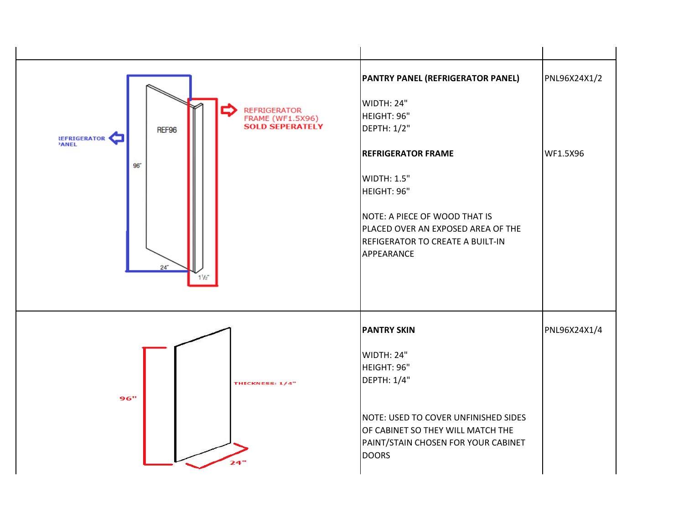| <b>REFRIGERATOR</b><br>$\rightarrow$<br><b>FRAME (WF1.5X96)</b><br><b>SOLD SEPERATELY</b><br>REF96<br>REFRIGERATOR<br>$96^{\circ}$<br>$24 -$<br>$1^{1}/2$ | <b>PANTRY PANEL (REFRIGERATOR PANEL)</b><br>WIDTH: 24"<br>HEIGHT: 96"<br>DEPTH: 1/2"<br><b>REFRIGERATOR FRAME</b><br>WIDTH: 1.5"<br>HEIGHT: 96"<br>NOTE: A PIECE OF WOOD THAT IS<br>PLACED OVER AN EXPOSED AREA OF THE<br><b>REFIGERATOR TO CREATE A BUILT-IN</b><br>APPEARANCE | PNL96X24X1/2<br>WF1.5X96 |
|-----------------------------------------------------------------------------------------------------------------------------------------------------------|---------------------------------------------------------------------------------------------------------------------------------------------------------------------------------------------------------------------------------------------------------------------------------|--------------------------|
| THICKNESS: 1/4"<br>96"<br>24                                                                                                                              | <b>PANTRY SKIN</b><br>WIDTH: 24"<br>HEIGHT: 96"<br>DEPTH: 1/4"<br>NOTE: USED TO COVER UNFINISHED SIDES<br>OF CABINET SO THEY WILL MATCH THE<br>PAINT/STAIN CHOSEN FOR YOUR CABINET<br><b>DOORS</b>                                                                              | PNL96X24X1/4             |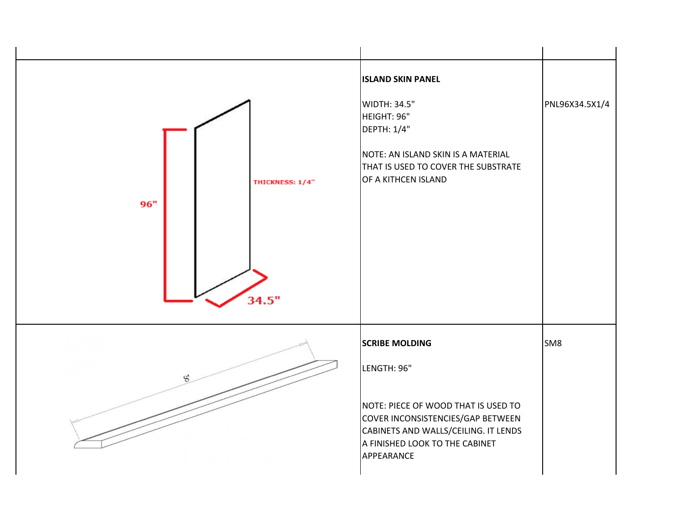| THICKNESS: 1/4"<br>96"<br>34.5" | <b>ISLAND SKIN PANEL</b><br>WIDTH: 34.5"<br>HEIGHT: 96"<br>DEPTH: 1/4"<br>NOTE: AN ISLAND SKIN IS A MATERIAL<br>THAT IS USED TO COVER THE SUBSTRATE<br>OF A KITHCEN ISLAND | PNL96X34.5X1/4  |
|---------------------------------|----------------------------------------------------------------------------------------------------------------------------------------------------------------------------|-----------------|
| $\mathcal{S}'$                  | <b>SCRIBE MOLDING</b><br>LENGTH: 96"                                                                                                                                       | SM <sub>8</sub> |
|                                 | NOTE: PIECE OF WOOD THAT IS USED TO<br>COVER INCONSISTENCIES/GAP BETWEEN<br>CABINETS AND WALLS/CEILING. IT LENDS<br>A FINISHED LOOK TO THE CABINET<br>APPEARANCE           |                 |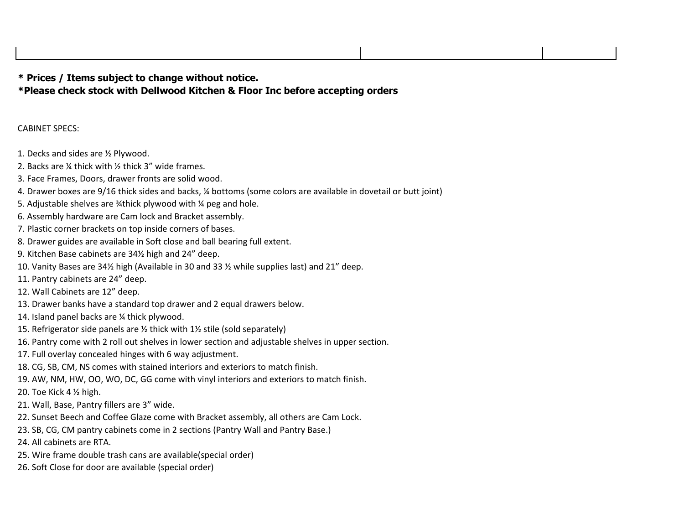## **\* Prices / Items subject to change without notice. \*Please check stock with Dellwood Kitchen & Floor Inc before accepting orders**

## CABINET SPECS:

- 1. Decks and sides are ½ Plywood.
- 2. Backs are ¼ thick with ½ thick 3" wide frames.
- 3. Face Frames, Doors, drawer fronts are solid wood.
- 4. Drawer boxes are 9/16 thick sides and backs, ¼ bottoms (some colors are available in dovetail or butt joint)
- 5. Adjustable shelves are ¥thick plywood with ¼ peg and hole.
- 6. Assembly hardware are Cam lock and Bracket assembly.
- 7. Plastic corner brackets on top inside corners of bases.
- 8. Drawer guides are available in Soft close and ball bearing full extent.
- 9. Kitchen Base cabinets are 34½ high and 24" deep.
- 10. Vanity Bases are 34½ high (Available in 30 and 33 ½ while supplies last) and 21" deep.
- 11. Pantry cabinets are 24" deep.
- 12. Wall Cabinets are 12" deep.
- 13. Drawer banks have a standard top drawer and 2 equal drawers below.
- 14. Island panel backs are ¼ thick plywood.
- 15. Refrigerator side panels are ½ thick with 1½ stile (sold separately)
- 16. Pantry come with 2 roll out shelves in lower section and adjustable shelves in upper section.
- 17. Full overlay concealed hinges with 6 way adjustment.
- 18. CG, SB, CM, NS comes with stained interiors and exteriors to match finish.
- 19. AW, NM, HW, OO, WO, DC, GG come with vinyl interiors and exteriors to match finish.
- 20. Toe Kick 4 ½ high.
- 21. Wall, Base, Pantry fillers are 3" wide.
- 22. Sunset Beech and Coffee Glaze come with Bracket assembly, all others are Cam Lock.
- 23. SB, CG, CM pantry cabinets come in 2 sections (Pantry Wall and Pantry Base.)
- 24. All cabinets are RTA.
- 25. Wire frame double trash cans are available(special order)
- 26. Soft Close for door are available (special order)